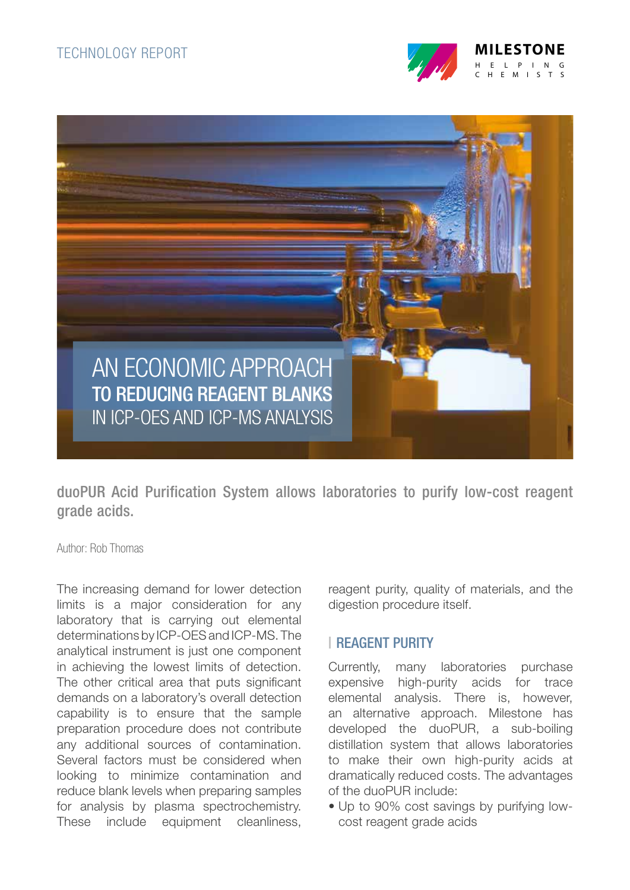



duoPUR Acid Purification System allows laboratories to purify low-cost reagent grade acids.

Author: Rob Thomas

The increasing demand for lower detection limits is a major consideration for any laboratory that is carrying out elemental determinations by ICP-OES and ICP-MS. The analytical instrument is just one component in achieving the lowest limits of detection. The other critical area that puts significant demands on a laboratory's overall detection capability is to ensure that the sample preparation procedure does not contribute any additional sources of contamination. Several factors must be considered when looking to minimize contamination and reduce blank levels when preparing samples for analysis by plasma spectrochemistry. These include equipment cleanliness,

reagent purity, quality of materials, and the digestion procedure itself.

### REAGENT PURITY

Currently, many laboratories purchase expensive high-purity acids for trace elemental analysis. There is, however, an alternative approach. Milestone has developed the duoPUR, a sub-boiling distillation system that allows laboratories to make their own high-purity acids at dramatically reduced costs. The advantages of the duoPUR include:

• Up to 90% cost savings by purifying lowcost reagent grade acids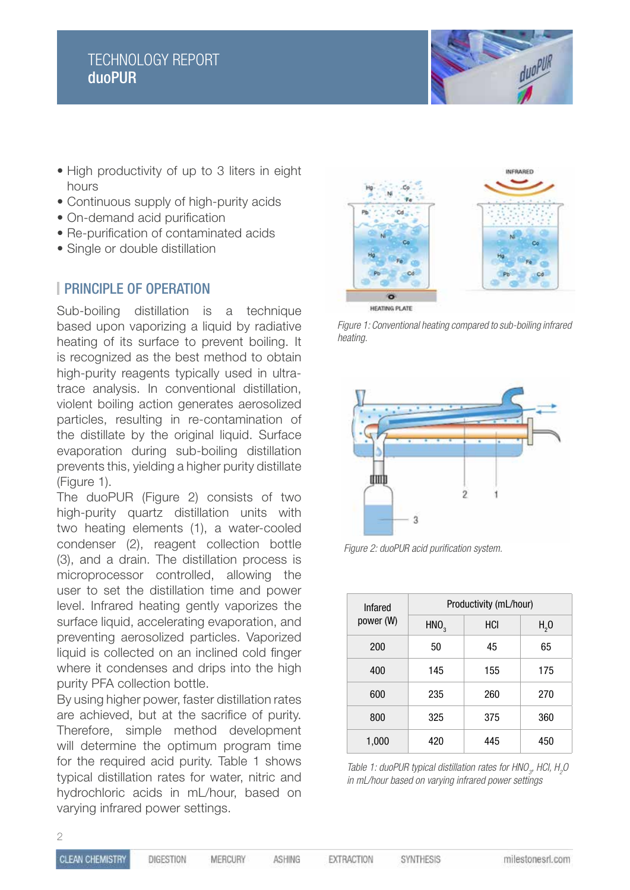# TECHNOLOGY REPORT duoPUR



- High productivity of up to 3 liters in eight hours
- Continuous supply of high-purity acids
- On-demand acid purification
- Re-purification of contaminated acids
- Single or double distillation

### **PRINCIPLE OF OPERATION**

Sub-boiling distillation is a technique based upon vaporizing a liquid by radiative heating of its surface to prevent boiling. It is recognized as the best method to obtain high-purity reagents typically used in ultratrace analysis. In conventional distillation, violent boiling action generates aerosolized particles, resulting in re-contamination of the distillate by the original liquid. Surface evaporation during sub-boiling distillation prevents this, yielding a higher purity distillate (Figure 1).

The duoPUR (Figure 2) consists of two high-purity quartz distillation units with two heating elements (1), a water-cooled condenser (2), reagent collection bottle (3), and a drain. The distillation process is microprocessor controlled, allowing the user to set the distillation time and power level. Infrared heating gently vaporizes the surface liquid, accelerating evaporation, and preventing aerosolized particles. Vaporized liquid is collected on an inclined cold finger where it condenses and drips into the high purity PFA collection bottle.

By using higher power, faster distillation rates are achieved, but at the sacrifice of purity. Therefore, simple method development will determine the optimum program time for the required acid purity. Table 1 shows typical distillation rates for water, nitric and hydrochloric acids in mL/hour, based on varying infrared power settings.



*Figure 1: Conventional heating compared to sub-boiling infrared heating.*



*Figure 2: duoPUR acid purification system.*

| <b>Infared</b> | Productivity (mL/hour) |     |                  |
|----------------|------------------------|-----|------------------|
| power (W)      | HNO <sub>3</sub>       | HCI | H <sub>2</sub> 0 |
| 200            | 50                     | 45  | 65               |
| 400            | 145                    | 155 | 175              |
| 600            | 235                    | 260 | 270              |
| 800            | 325                    | 375 | 360              |
| 1,000          | 420                    | 445 | 450              |

*Table 1: duoPUR typical distillation rates for HNO<sub>3</sub>, HCl, H<sub>2</sub>O in mL/hour based on varying infrared power settings*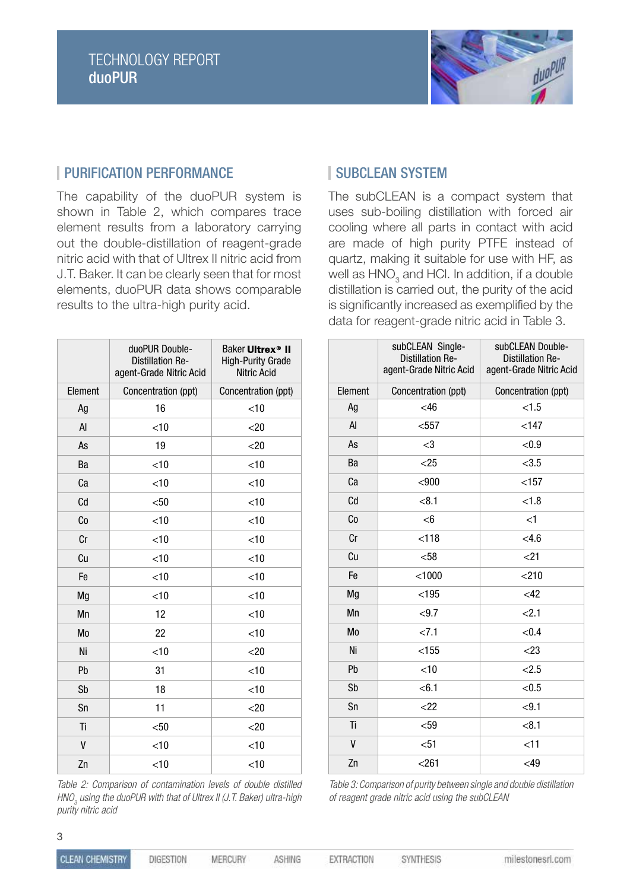

### | PURIFICATION PERFORMANCE | SUBCLEAN SYSTEM

The capability of the duoPUR system is shown in Table 2, which compares trace element results from a laboratory carrying out the double-distillation of reagent-grade nitric acid with that of Ultrex II nitric acid from J.T. Baker. It can be clearly seen that for most elements, duoPUR data shows comparable results to the ultra-high purity acid.

|         | duoPUR Double-<br><b>Distillation Re-</b><br>agent-Grade Nitric Acid | Baker Ultrex <sup>®</sup> II<br><b>High-Purity Grade</b><br><b>Nitric Acid</b> |
|---------|----------------------------------------------------------------------|--------------------------------------------------------------------------------|
| Element | Concentration (ppt)                                                  | Concentration (ppt)                                                            |
| Ag      | 16                                                                   | $<$ 10                                                                         |
| AI      | $<$ 10                                                               | $<$ 20                                                                         |
| As      | 19                                                                   | $<$ 20                                                                         |
| Ba      | $<$ 10                                                               | $<$ 10                                                                         |
| Ca      | $<$ 10                                                               | $<$ 10                                                                         |
| Cd      | $50$                                                                 | $<$ 10                                                                         |
| Co      | $<$ 10                                                               | $<$ 10                                                                         |
| Cr      | $<$ 10                                                               | $<$ 10                                                                         |
| Cu      | $<$ 10                                                               | $<$ 10                                                                         |
| Fe      | $<$ 10                                                               | $<$ 10                                                                         |
| Mg      | $<$ 10                                                               | $<$ 10                                                                         |
| Mn      | 12                                                                   | $<$ 10                                                                         |
| Mo      | 22                                                                   | $<$ 10                                                                         |
| Ni      | $<$ 10                                                               | $<$ 20                                                                         |
| Pb      | 31                                                                   | $<$ 10                                                                         |
| Sb      | 18                                                                   | $<$ 10                                                                         |
| Sn      | 11                                                                   | $<$ 20                                                                         |
| Ti      | $50$                                                                 | $<$ 20                                                                         |
| V       | $<$ 10                                                               | $<$ 10                                                                         |
| Zn      | $<$ 10                                                               | $<$ 10                                                                         |

*Table 2: Comparison of contamination levels of double distilled HNO3 using the duoPUR with that of Ultrex II (J.T. Baker) ultra-high purity nitric acid*

The subCLEAN is a compact system that uses sub-boiling distillation with forced air cooling where all parts in contact with acid are made of high purity PTFE instead of quartz, making it suitable for use with HF, as well as  $\mathsf{HNO}_3^{}$  and HCl. In addition, if a double distillation is carried out, the purity of the acid is significantly increased as exemplified by the data for reagent-grade nitric acid in Table 3.

|         | subCLEAN Single-<br><b>Distillation Re-</b><br>agent-Grade Nitric Acid | subCLEAN Double-<br><b>Distillation Re-</b><br>agent-Grade Nitric Acid |
|---------|------------------------------------------------------------------------|------------------------------------------------------------------------|
| Element | Concentration (ppt)                                                    | Concentration (ppt)                                                    |
| Ag      | <46                                                                    | < 1.5                                                                  |
| AI      | $557$                                                                  | < 147                                                                  |
| As      | $<$ 3                                                                  | < 0.9                                                                  |
| Ba      | $<$ 25                                                                 | < 3.5                                                                  |
| Ca      | < 900                                                                  | < 157                                                                  |
| Cd      | < 8.1                                                                  | < 1.8                                                                  |
| Co      | $<$ 6                                                                  | $<$ 1                                                                  |
| Cr      | < 118                                                                  | <4.6                                                                   |
| Cu      | $58$                                                                   | $<$ 21                                                                 |
| Fe      | < 1000                                                                 | < 210                                                                  |
| Mg      | < 195                                                                  | $<$ 42                                                                 |
| Mn      | < 9.7                                                                  | 2.1                                                                    |
| Mo      | < 7.1                                                                  | < 0.4                                                                  |
| Ni      | < 155                                                                  | $<$ 23                                                                 |
| Pb      | $<$ 10                                                                 | < 2.5                                                                  |
| Sb      | < 6.1                                                                  | < 0.5                                                                  |
| Sn      | $<$ 22                                                                 | < 9.1                                                                  |
| Ti      | $59$                                                                   | < 8.1                                                                  |
| V       | $51$                                                                   | $<$ 11                                                                 |
| Zn      | < 261                                                                  | $<$ 49                                                                 |

*Table 3: Comparison of purity between single and double distillation of reagent grade nitric acid using the subCLEAN*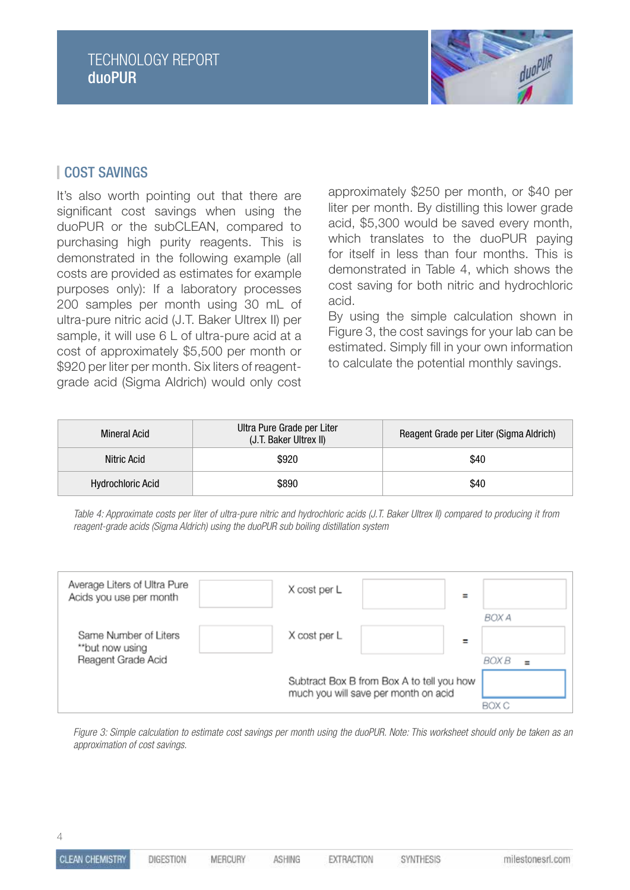

## COST SAVINGS

It's also worth pointing out that there are significant cost savings when using the duoPUR or the subCLEAN, compared to purchasing high purity reagents. This is demonstrated in the following example (all costs are provided as estimates for example purposes only): If a laboratory processes 200 samples per month using 30 mL of ultra-pure nitric acid (J.T. Baker Ultrex II) per sample, it will use 6 L of ultra-pure acid at a cost of approximately \$5,500 per month or \$920 per liter per month. Six liters of reagentgrade acid (Sigma Aldrich) would only cost

approximately \$250 per month, or \$40 per liter per month. By distilling this lower grade acid, \$5,300 would be saved every month, which translates to the duoPUR paying for itself in less than four months. This is demonstrated in Table 4, which shows the cost saving for both nitric and hydrochloric acid.

By using the simple calculation shown in Figure 3, the cost savings for your lab can be estimated. Simply fill in your own information to calculate the potential monthly savings.

| <b>Mineral Acid</b>      | Ultra Pure Grade per Liter<br>(J.T. Baker Ultrex II) | Reagent Grade per Liter (Sigma Aldrich) |
|--------------------------|------------------------------------------------------|-----------------------------------------|
| Nitric Acid              | \$920                                                | \$40                                    |
| <b>Hydrochloric Acid</b> | \$890                                                | \$40                                    |

*Table 4: Approximate costs per liter of ultra-pure nitric and hydrochloric acids (J.T. Baker Ultrex II) compared to producing it from reagent-grade acids (Sigma Aldrich) using the duoPUR sub boiling distillation system*

| Average Liters of Ultra Pure<br>Acids you use per month | X cost per L | $\equiv$                                                                          |                       |
|---------------------------------------------------------|--------------|-----------------------------------------------------------------------------------|-----------------------|
| Same Number of Liters<br>**but now using                | X cost per L |                                                                                   | BOX A                 |
| Reagent Grade Acid                                      |              | Subtract Box B from Box A to tell you how<br>much you will save per month on acid | BOX B<br>$=$<br>BOX C |

*Figure 3: Simple calculation to estimate cost savings per month using the duoPUR. Note: This worksheet should only be taken as an approximation of cost savings.*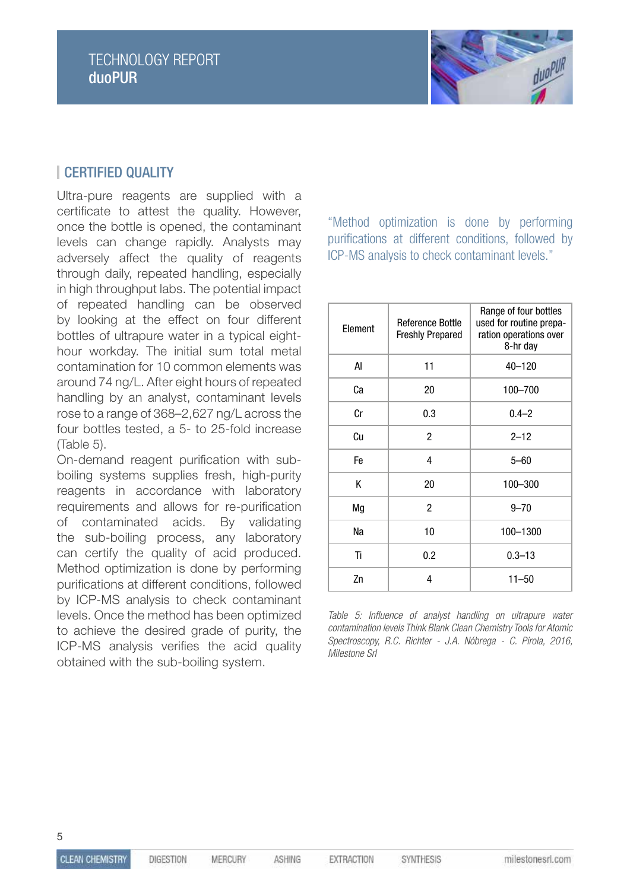

## **CERTIFIED QUALITY**

Ultra-pure reagents are supplied with a certificate to attest the quality. However, once the bottle is opened, the contaminant levels can change rapidly. Analysts may adversely affect the quality of reagents through daily, repeated handling, especially in high throughput labs. The potential impact of repeated handling can be observed by looking at the effect on four different bottles of ultrapure water in a typical eighthour workday. The initial sum total metal contamination for 10 common elements was around 74 ng/L. After eight hours of repeated handling by an analyst, contaminant levels rose to a range of 368–2,627 ng/L across the four bottles tested, a 5- to 25-fold increase (Table 5).

On-demand reagent purification with subboiling systems supplies fresh, high-purity reagents in accordance with laboratory requirements and allows for re-purification of contaminated acids. By validating the sub-boiling process, any laboratory can certify the quality of acid produced. Method optimization is done by performing purifications at different conditions, followed by ICP-MS analysis to check contaminant levels. Once the method has been optimized to achieve the desired grade of purity, the ICP-MS analysis verifies the acid quality obtained with the sub-boiling system.

"Method optimization is done by performing purifications at different conditions, followed by ICP-MS analysis to check contaminant levels."

| Element | <b>Reference Bottle</b><br><b>Freshly Prepared</b> | Range of four bottles<br>used for routine prepa-<br>ration operations over<br>8-hr day |
|---------|----------------------------------------------------|----------------------------------------------------------------------------------------|
| AI      | 11                                                 | 40-120                                                                                 |
| Ca      | 20                                                 | 100-700                                                                                |
| Cr      | 0.3                                                | $0.4 - 2$                                                                              |
| Сu      | $\overline{c}$                                     | $2 - 12$                                                                               |
| Fe      | 4                                                  | $5 - 60$                                                                               |
| Κ       | 20                                                 | 100-300                                                                                |
| Mg      | $\overline{c}$                                     | $9 - 70$                                                                               |
| Na      | 10                                                 | 100-1300                                                                               |
| Ti      | 0.2                                                | $0.3 - 13$                                                                             |
| Zn      | 4                                                  | $11 - 50$                                                                              |

*Table 5: Influence of analyst handling on ultrapure water contamination levels Think Blank Clean Chemistry Tools for Atomic Spectroscopy, R.C. Richter - J.A. Nóbrega - C. Pirola, 2016, Milestone Srl*

SYNTHESIS